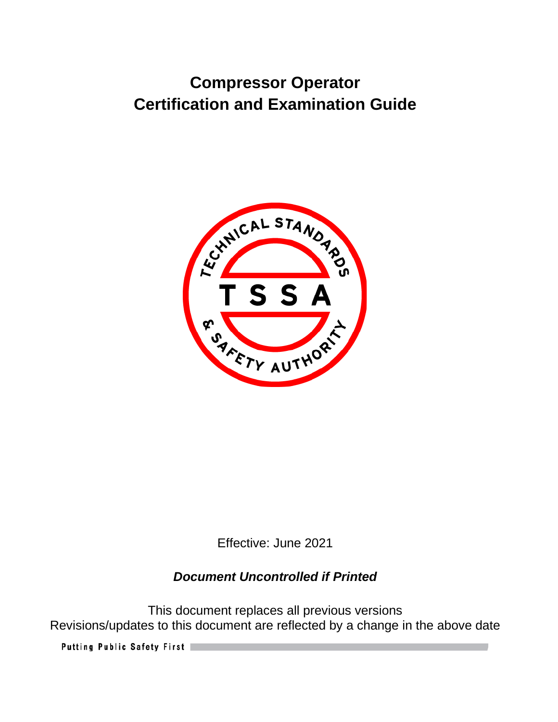# **Compressor Operator Certification and Examination Guide**



Effective: June 2021

# *Document Uncontrolled if Printed*

This document replaces all previous versions Revisions/updates to this document are reflected by a change in the above date

Putting Public Safety First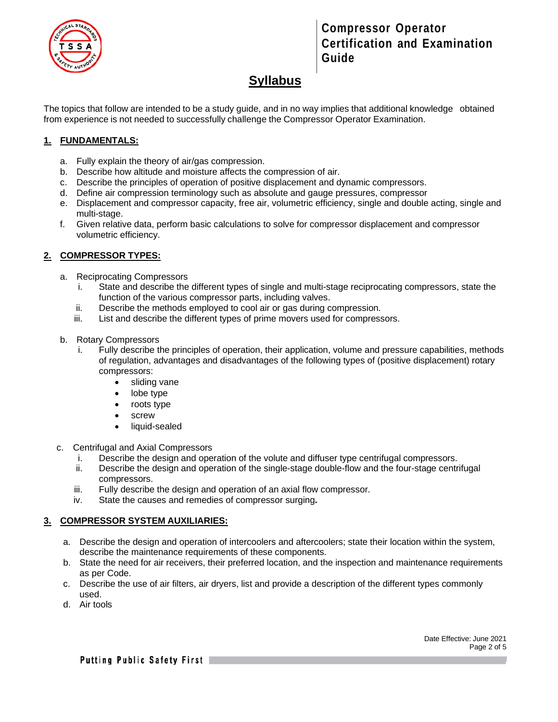

**Compressor Operator Certification and Examination Guide**

# **Syllabus**

The topics that follow are intended to be a study guide, and in no way implies that additional knowledge obtained from experience is not needed to successfully challenge the Compressor Operator Examination.

#### **1. FUNDAMENTALS:**

- a. Fully explain the theory of air/gas compression.
- b. Describe how altitude and moisture affects the compression of air.
- c. Describe the principles of operation of positive displacement and dynamic compressors.
- d. Define air compression terminology such as absolute and gauge pressures, compressor
- e. Displacement and compressor capacity, free air, volumetric efficiency, single and double acting, single and multi-stage.
- f. Given relative data, perform basic calculations to solve for compressor displacement and compressor volumetric efficiency.

#### **2. COMPRESSOR TYPES:**

- a. Reciprocating Compressors
	- i. State and describe the different types of single and multi-stage reciprocating compressors, state the function of the various compressor parts, including valves.
	- ii. Describe the methods employed to cool air or gas during compression.
	- iii. List and describe the different types of prime movers used for compressors.
- b. Rotary Compressors
	- i. Fully describe the principles of operation, their application, volume and pressure capabilities, methods of regulation, advantages and disadvantages of the following types of (positive displacement) rotary compressors:
		- sliding vane
		- lobe type
		- roots type
		- screw
		- liquid-sealed
- c. Centrifugal and Axial Compressors
	- i. Describe the design and operation of the volute and diffuser type centrifugal compressors.
	- ii. Describe the design and operation of the single-stage double-flow and the four-stage centrifugal compressors.
	- iii. Fully describe the design and operation of an axial flow compressor.
	- iv. State the causes and remedies of compressor surging**.**

#### **3. COMPRESSOR SYSTEM AUXILIARIES:**

- a. Describe the design and operation of intercoolers and aftercoolers; state their location within the system, describe the maintenance requirements of these components.
- b. State the need for air receivers, their preferred location, and the inspection and maintenance requirements as per Code.
- c. Describe the use of air filters, air dryers, list and provide a description of the different types commonly used.
- d. Air tools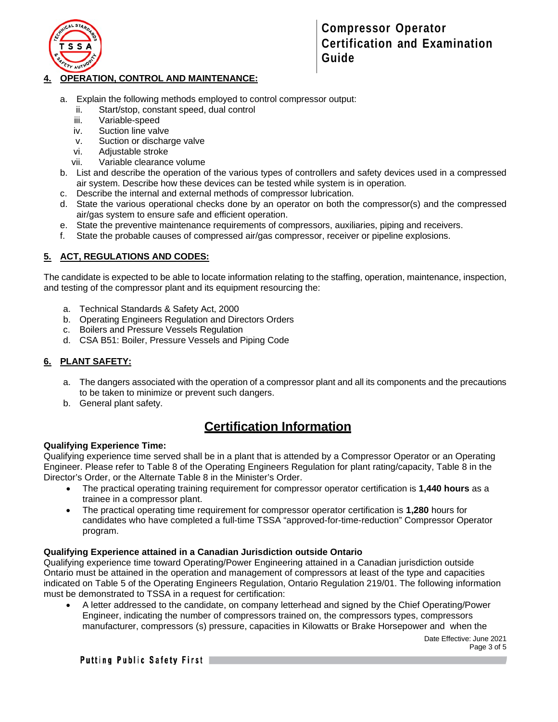

#### **4. OPERATION, CONTROL AND MAINTENANCE:**

- a. Explain the following methods employed to control compressor output:
	- ii. Start/stop, constant speed, dual control
	- iii. Variable-speed
	- iv. Suction line valve
	- v. Suction or discharge valve
	- vi. Adjustable stroke
	- vii. Variable clearance volume
- b. List and describe the operation of the various types of controllers and safety devices used in a compressed air system. Describe how these devices can be tested while system is in operation.
- c. Describe the internal and external methods of compressor lubrication.
- d. State the various operational checks done by an operator on both the compressor(s) and the compressed air/gas system to ensure safe and efficient operation.
- e. State the preventive maintenance requirements of compressors, auxiliaries, piping and receivers.
- f. State the probable causes of compressed air/gas compressor, receiver or pipeline explosions.

#### **5. ACT, REGULATIONS AND CODES:**

The candidate is expected to be able to locate information relating to the staffing, operation, maintenance, inspection, and testing of the compressor plant and its equipment resourcing the:

- a. Technical Standards & Safety Act, 2000
- b. Operating Engineers Regulation and Directors Orders
- c. Boilers and Pressure Vessels Regulation
- d. CSA B51: Boiler, Pressure Vessels and Piping Code

#### **6. PLANT SAFETY:**

- a. The dangers associated with the operation of a compressor plant and all its components and the precautions to be taken to minimize or prevent such dangers.
- b. General plant safety.

### **Certification Information**

#### **Qualifying Experience Time:**

Qualifying experience time served shall be in a plant that is attended by a Compressor Operator or an Operating Engineer. Please refer to Table 8 of the Operating Engineers Regulation for plant rating/capacity, Table 8 in the Director's Order, or the Alternate Table 8 in the Minister's Order.

- The practical operating training requirement for compressor operator certification is **1,440 hours** as a trainee in a compressor plant.
- The practical operating time requirement for compressor operator certification is **1,280** hours for candidates who have completed a full-time TSSA "approved-for-time-reduction" Compressor Operator program.

#### **Qualifying Experience attained in a Canadian Jurisdiction outside Ontario**

Qualifying experience time toward Operating/Power Engineering attained in a Canadian jurisdiction outside Ontario must be attained in the operation and management of compressors at least of the type and capacities indicated on Table 5 of the Operating Engineers Regulation, Ontario Regulation 219/01. The following information must be demonstrated to TSSA in a request for certification:

• A letter addressed to the candidate, on company letterhead and signed by the Chief Operating/Power Engineer, indicating the number of compressors trained on, the compressors types, compressors manufacturer, compressors (s) pressure, capacities in Kilowatts or Brake Horsepower and when the

> Date Effective: June 2021 Page 3 of 5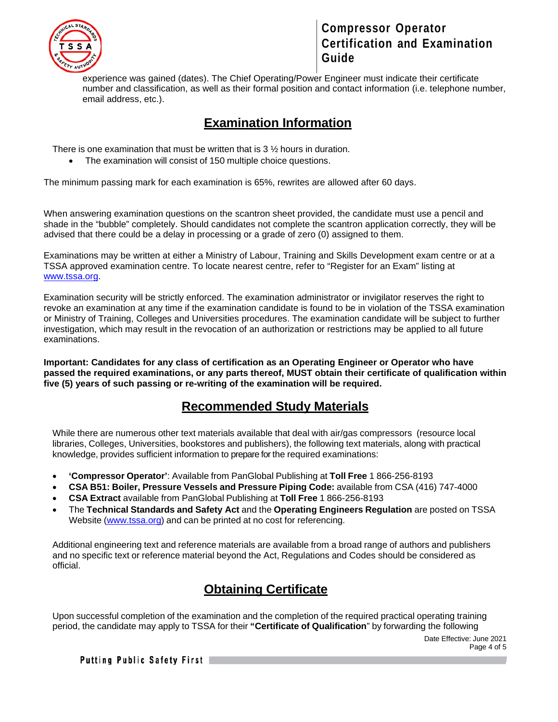

### **Compressor Operator Certification and Examination Guide**

experience was gained (dates). The Chief Operating/Power Engineer must indicate their certificate number and classification, as well as their formal position and contact information (i.e. telephone number, email address, etc.).

### **Examination Information**

There is one examination that must be written that is 3 ½ hours in duration.

• The examination will consist of 150 multiple choice questions.

The minimum passing mark for each examination is 65%, rewrites are allowed after 60 days.

When answering examination questions on the scantron sheet provided, the candidate must use a pencil and shade in the "bubble" completely. Should candidates not complete the scantron application correctly, they will be advised that there could be a delay in processing or a grade of zero (0) assigned to them.

Examinations may be written at either a Ministry of Labour, Training and Skills Development exam centre or at a TSSA approved examination centre. To locate nearest centre, refer to "Register for an Exam" listing at [www.tssa.org.](http://www.tssa.org/)

Examination security will be strictly enforced. The examination administrator or invigilator reserves the right to revoke an examination at any time if the examination candidate is found to be in violation of the TSSA examination or Ministry of Training, Colleges and Universities procedures. The examination candidate will be subject to further investigation, which may result in the revocation of an authorization or restrictions may be applied to all future examinations.

**Important: Candidates for any class of certification as an Operating Engineer or Operator who have passed the required examinations, or any parts thereof, MUST obtain their certificate of qualification within five (5) years of such passing or re-writing of the examination will be required.** 

### **Recommended Study Materials**

While there are numerous other text materials available that deal with air/gas compressors (resource local libraries, Colleges, Universities, bookstores and publishers), the following text materials, along with practical knowledge, provides sufficient information to prepare for the required examinations:

- **'Compressor Operator'**: Available from PanGlobal Publishing at **Toll Free** 1 866-256-8193
- **CSA B51: Boiler, Pressure Vessels and Pressure Piping Code:** available from CSA (416) 747-4000
- **CSA Extract** available from PanGlobal Publishing at **Toll Free** 1 866-256-8193
- The **Technical Standards and Safety Act** and the **Operating Engineers Regulation** are posted on TSSA Website [\(www.tssa.org\)](http://www.tssa.org/) and can be printed at no cost for referencing.

Additional engineering text and reference materials are available from a broad range of authors and publishers and no specific text or reference material beyond the Act, Regulations and Codes should be considered as official.

# **Obtaining Certificate**

Upon successful completion of the examination and the completion of the required practical operating training period, the candidate may apply to TSSA for their **"Certificate of Qualification**" by forwarding the following

> Date Effective: June 2021 Page 4 of 5

**Putting Public Safety First**